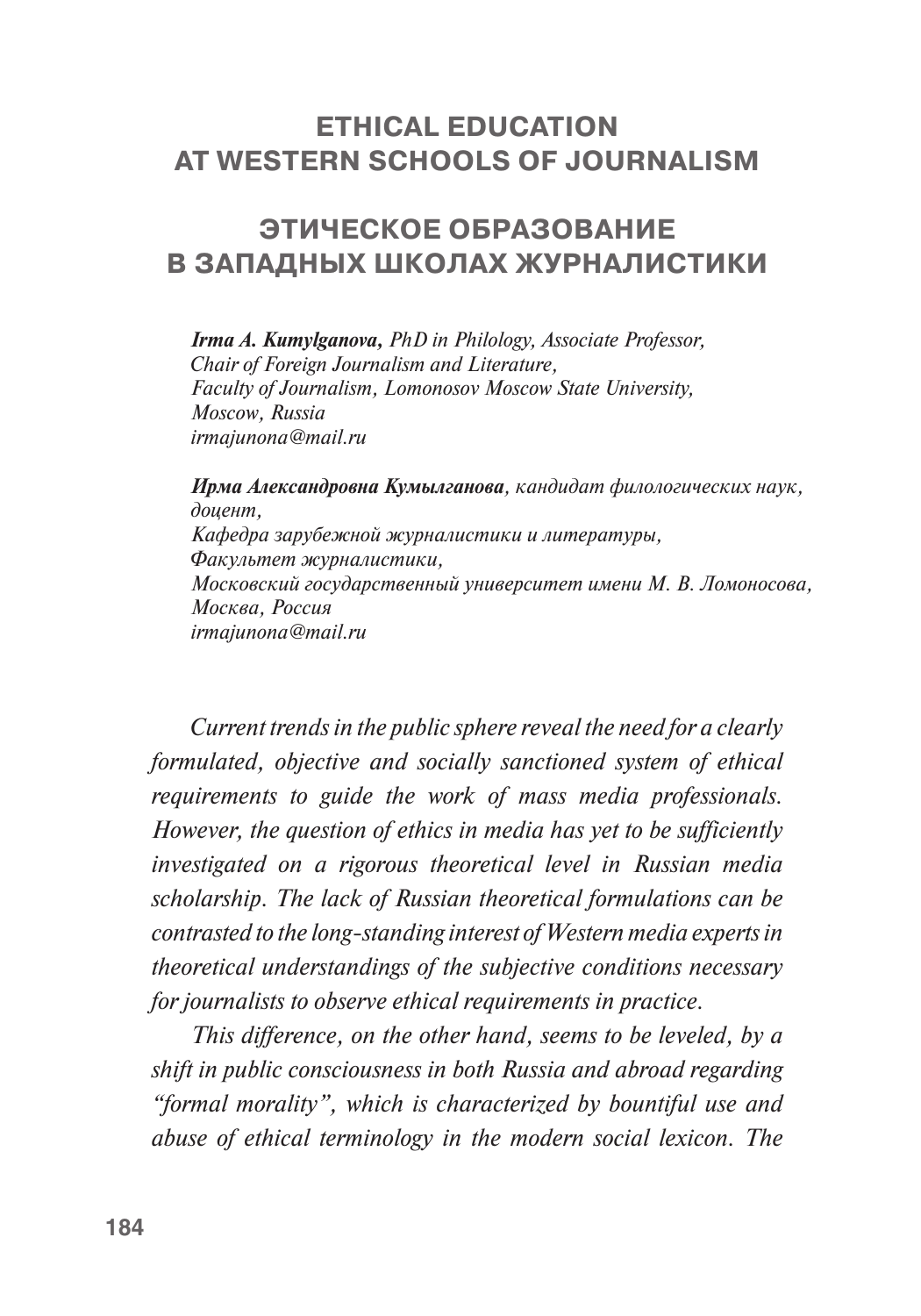# **ETHICAL EDUCATION AT WESTERN SCHOOLS OF JOURNALISM**

# **ЭТИЧЕСКОЕ ОБРАЗОВАНИЕ В ЗАПАДНЫХ ШКОЛАХ ЖУРНАЛИСТИКИ**

*Irma A. Kumylganova, PhD in Philology, Associate Professor, Chair of Foreign Journalism and Literature, Faculty of Journalism, Lomonosov Moscow State University, Moscow, Russia [irmajunona@mail.ru](file:///I:/BOOK_Nonna/World_of_Media_2017/ )*

*Ирма Александровна Кумылганова, кандидат филологических наук, доцент, Кафедра зарубежной журналистики и литературы, Факультет журналистики, Московский государственный университет имени М. В. Ломоносова, Москва, Россия [irmajunona@mail.ru](https://e.mail.ru/compose/?mailto=mailto%3airmajunona@mail.ru)*

*Current trends in the public sphere reveal the need for a clearly formulated, objective and socially sanctioned system of ethical requirements to guide the work of mass media professionals. However, the question of ethics in media has yet to be sufficiently investigated on a rigorous theoretical level in Russian media scholarship. The lack of Russian theoretical formulations can be contrasted to the long-standing interest of Western media experts in theoretical understandings of the subjective conditions necessary for journalists to observe ethical requirements in practice.* 

*This difference, on the other hand, seems to be leveled, by a shift in public consciousness in both Russia and abroad regarding "formal morality", which is characterized by bountiful use and abuse of ethical terminology in the modern social lexicon. The*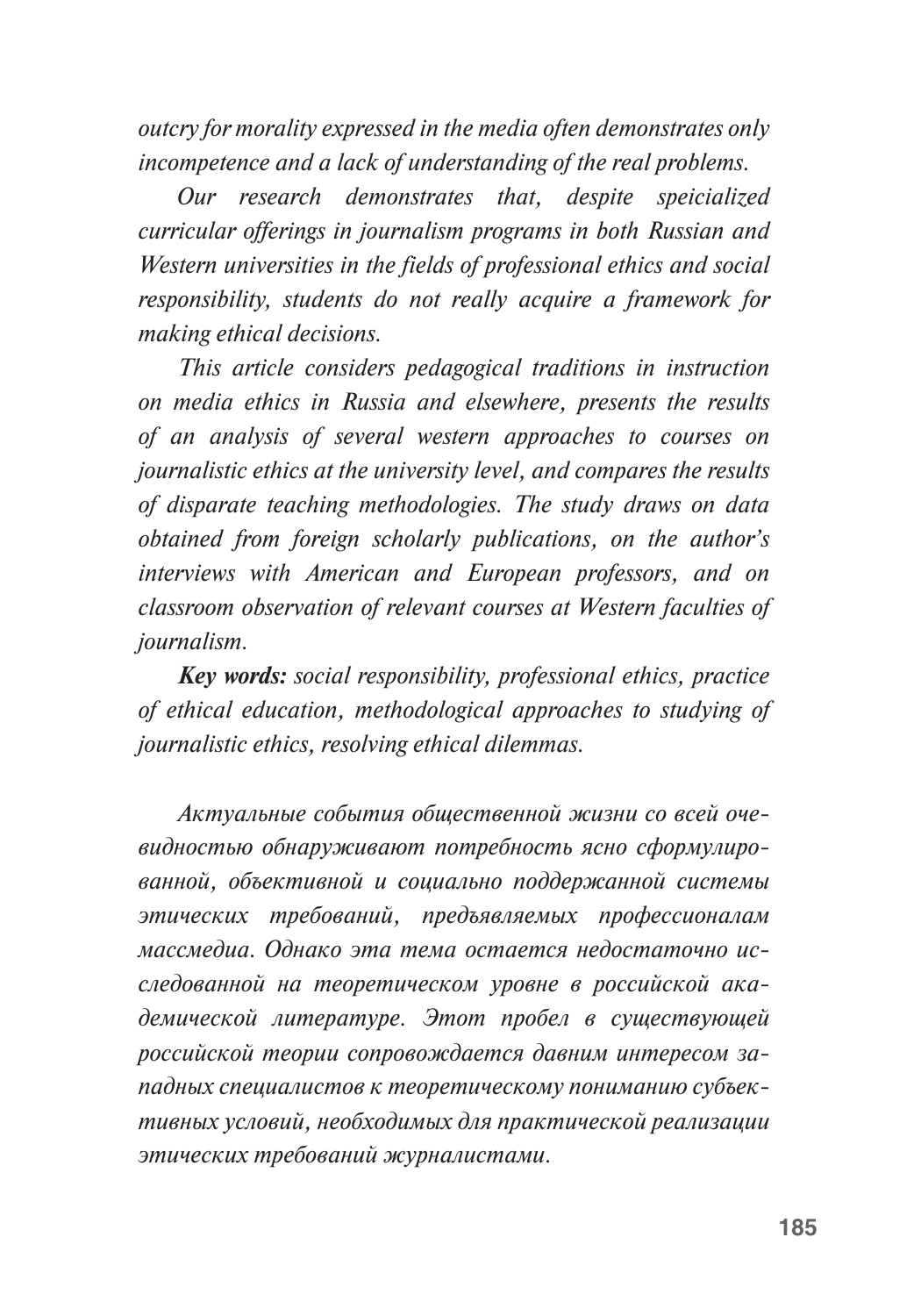*outcry for morality expressed in the media often demonstrates only incompetence and a lack of understanding of the real problems.* 

*Our research demonstrates that, despite speicialized curricular offerings in journalism programs in both Russian and Western universities in the fields of professional ethics and social responsibility, students do not really acquire a framework for making ethical decisions.*

*This article considers pedagogical traditions in instruction on media ethics in Russia and elsewhere, presents the results of an analysis of several western approaches to courses on journalistic ethics at the university level, and compares the results of disparate teaching methodologies. The study draws on data obtained from foreign scholarly publications, on the author's interviews with American and European professors, and on classroom observation of relevant courses at Western faculties of journalism.*

*Key words: social responsibility, professional ethics, practice of ethical education, methodological approaches to studying of journalistic ethics, resolving ethical dilemmas.*

*Актуальные события общественной жизни со всей очевидностью обнаруживают потребность ясно сформулированной, объективной и социально поддержанной системы этических требований, предъявляемых профессионалам массмедиа. Однако эта тема остается недостаточно исследованной на теоретическом уровне в российской академической литературе. Этот пробел в существующей российской теории сопровождается давним интересом западных специалистов к теоретическому пониманию субъективных условий, необходимых для практической реализации этических требований журналистами.*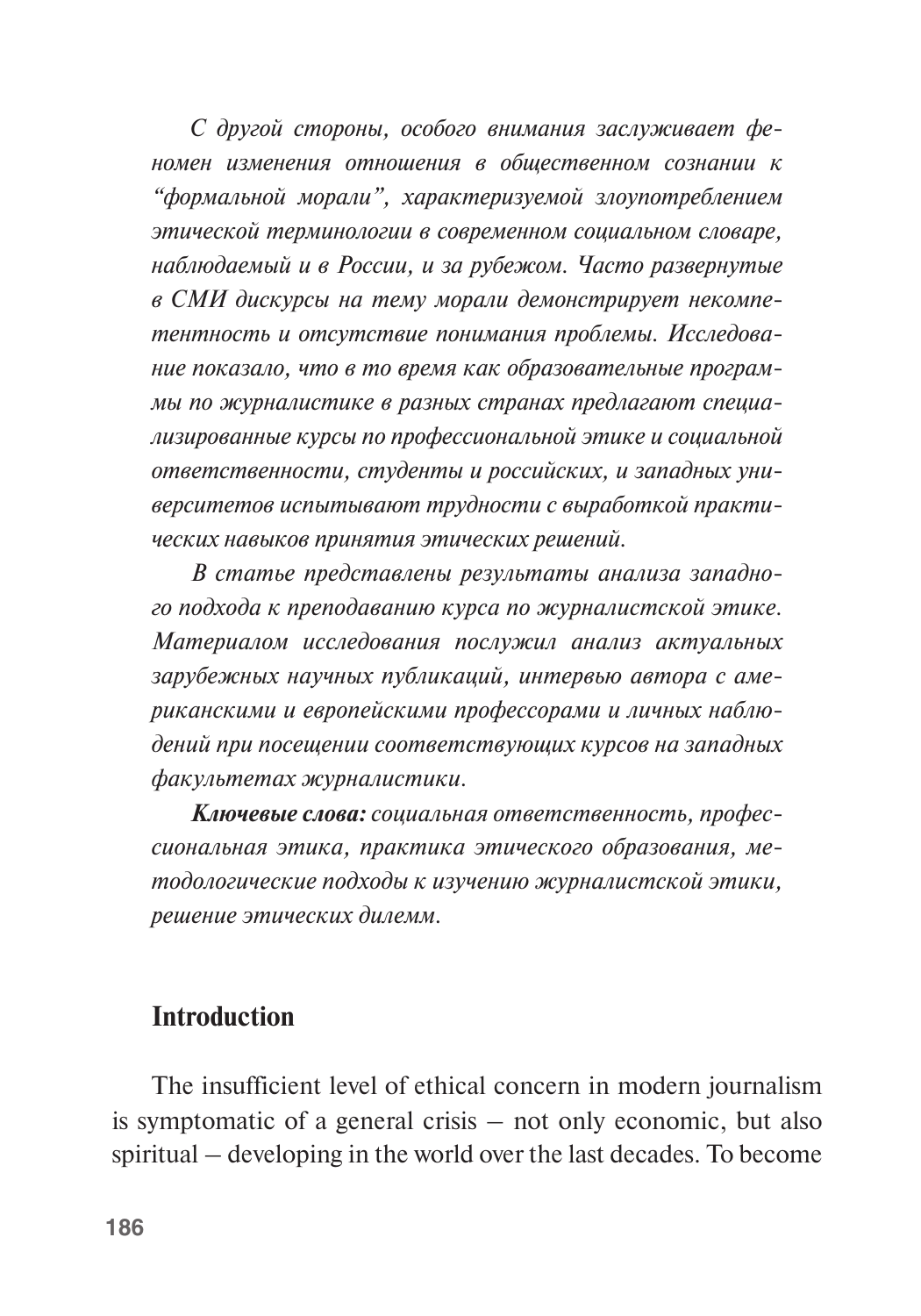*С другой стороны, особого внимания заслуживает феномен изменения отношения в общественном сознании к "формальной морали", характеризуемой злоупотреблением этической терминологии в современном социальном словаре, наблюдаемый и в России, и за рубежом. Часто развернутые в СМИ дискурсы на тему морали демонстрирует некомпетентность и отсутствие понимания проблемы. Исследование показало, что в то время как образовательные программы по журналистике в разных странах предлагают специализированные курсы по профессиональной этике и социальной ответственности, студенты и российских, и западных университетов испытывают трудности с выработкой практических навыков принятия этических решений.*

*В статье представлены результаты анализа западного подхода к преподаванию курса по журналистской этике. Материалом исследования послужил анализ актуальных зарубежных научных публикаций, интервью автора с американскими и европейскими профессорами и личных наблюдений при посещении соответствующих курсов на западных факультетах журналистики.* 

*Ключевые слова: социальная ответственность, профессиональная этика, практика этического образования, методологические подходы к изучению журналистской этики, решение этических дилемм.*

## **Introduction**

The insufficient level of ethical concern in modern journalism is symptomatic of a general crisis – not only economic, but also spiritual – developing in the world over the last decades. To become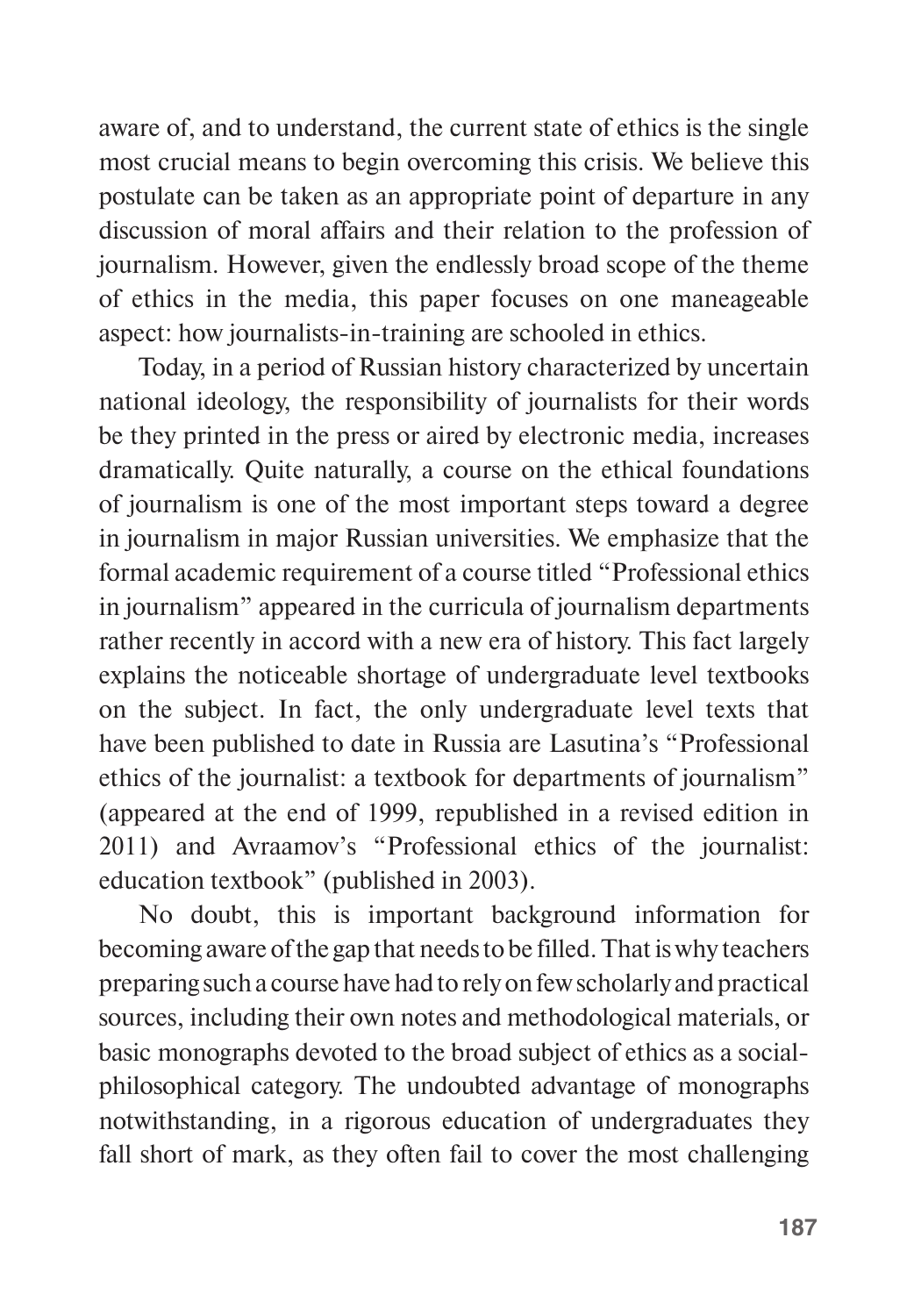aware of, and to understand, the current state of ethics is the single most crucial means to begin overcoming this crisis. We believe this postulate can be taken as an appropriate point of departure in any discussion of moral affairs and their relation to the profession of journalism. However, given the endlessly broad scope of the theme of ethics in the media, this paper focuses on one maneageable aspect: how journalists-in-training are schooled in ethics.

Today, in a period of Russian history characterized by uncertain national ideology, the responsibility of journalists for their words be they printed in the press or aired by electronic media, increases dramatically. Quite naturally, a course on the ethical foundations of journalism is one of the most important steps toward a degree in journalism in major Russian universities. We emphasize that the formal academic requirement of a course titled "Professional ethics in journalism" appeared in the curricula of journalism departments rather recently in accord with a new era of history. This fact largely explains the noticeable shortage of undergraduate level textbooks on the subject. In fact, the only undergraduate level texts that have been published to date in Russia are Lasutina's "Professional ethics of the journalist: a textbook for departments of journalism" (appeared at the end of 1999, republished in a revised edition in 2011) and Avraamov's "Professional ethics of the journalist: education textbook" (published in 2003).

No doubt, this is important background information for becoming aware of the gap that needs to be filled. That is why teachers preparing such a course have had to rely on few scholarly and practical sources, including their own notes and methodological materials, or basic monographs devoted to the broad subject of ethics as a socialphilosophical category. The undoubted advantage of monographs notwithstanding, in a rigorous education of undergraduates they fall short of mark, as they often fail to cover the most challenging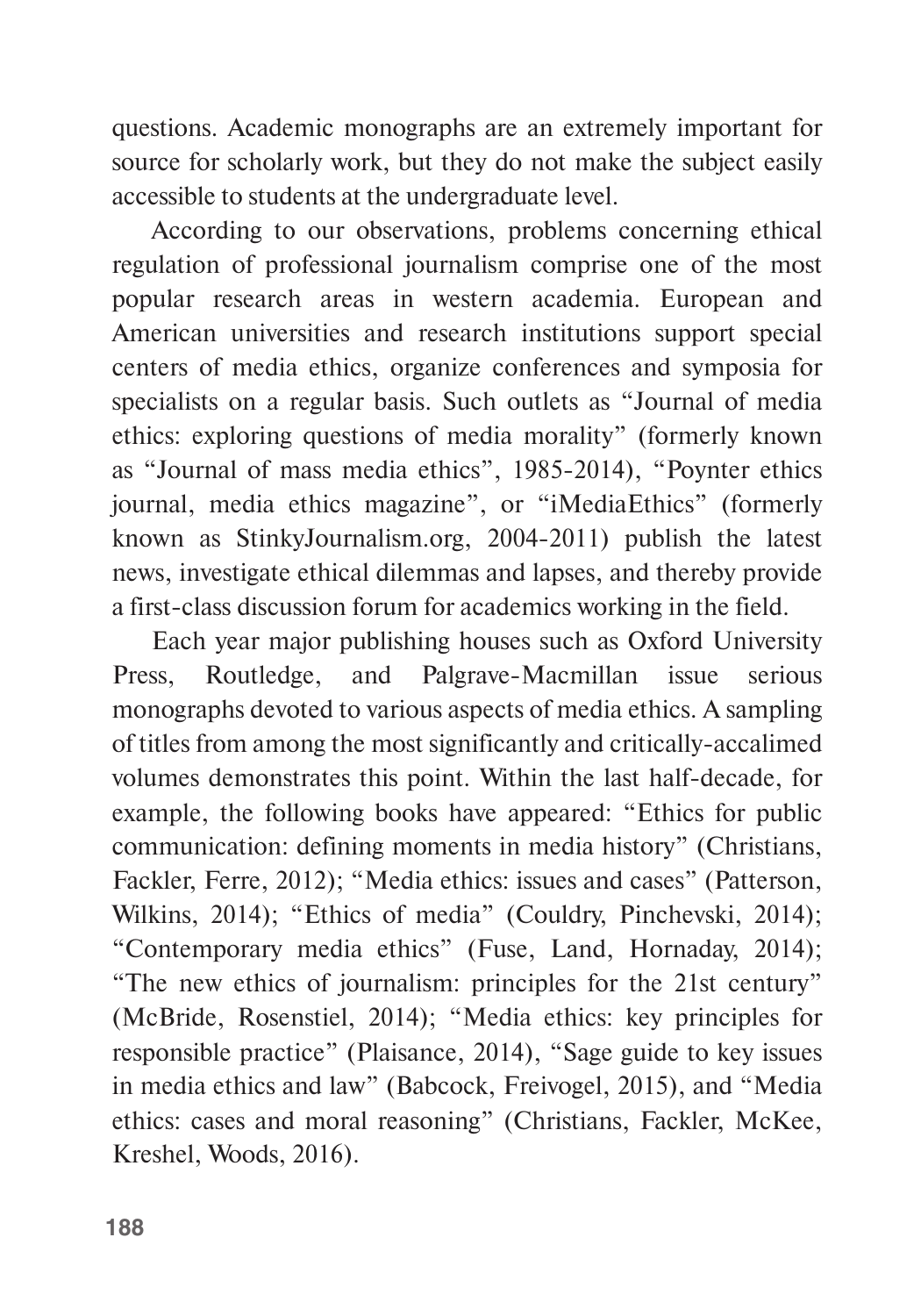questions. Academic monographs are an extremely important for source for scholarly work, but they do not make the subject easily accessible to students at the undergraduate level.

According to our observations, problems concerning ethical regulation of professional journalism comprise one of the most popular research areas in western academia. European and American universities and research institutions support special centers of media ethics, organize conferences and symposia for specialists on a regular basis. Such outlets as "Journal of media ethics: exploring questions of media morality" (formerly known as "Journal of mass media ethics", 1985-2014), "Poynter ethics journal, media ethics magazine", or "iMediaEthics" (formerly known as StinkyJournalism.org, 2004-2011) publish the latest news, investigate ethical dilemmas and lapses, and thereby provide a first-class discussion forum for academics working in the field.

Each year major publishing houses such as Oxford University Press, Routledge, and Palgrave-Macmillan issue serious monographs devoted to various aspects of media ethics. A sampling of titles from among the most significantly and critically-accalimed volumes demonstrates this point. Within the last half-decade, for example, the following books have appeared: "Ethics for public communication: defining moments in media history" (Christians, Fackler, Ferre, 2012); "Media ethics: issues and cases" (Patterson, Wilkins, 2014); "Ethics of media" (Couldry, Pinchevski, 2014); "Contemporary media ethics" (Fuse, Land, Hornaday, 2014); "The new ethics of journalism: principles for the 21st century" (McBride, Rosenstiel, 2014); "Media ethics: key principles for responsible practice" (Plaisance, 2014), "Sage guide to key issues in media ethics and law" (Babcock, Freivogel, 2015), and "Media ethics: cases and moral reasoning" (Christians, Fackler, McKee, Kreshel, Woods, 2016).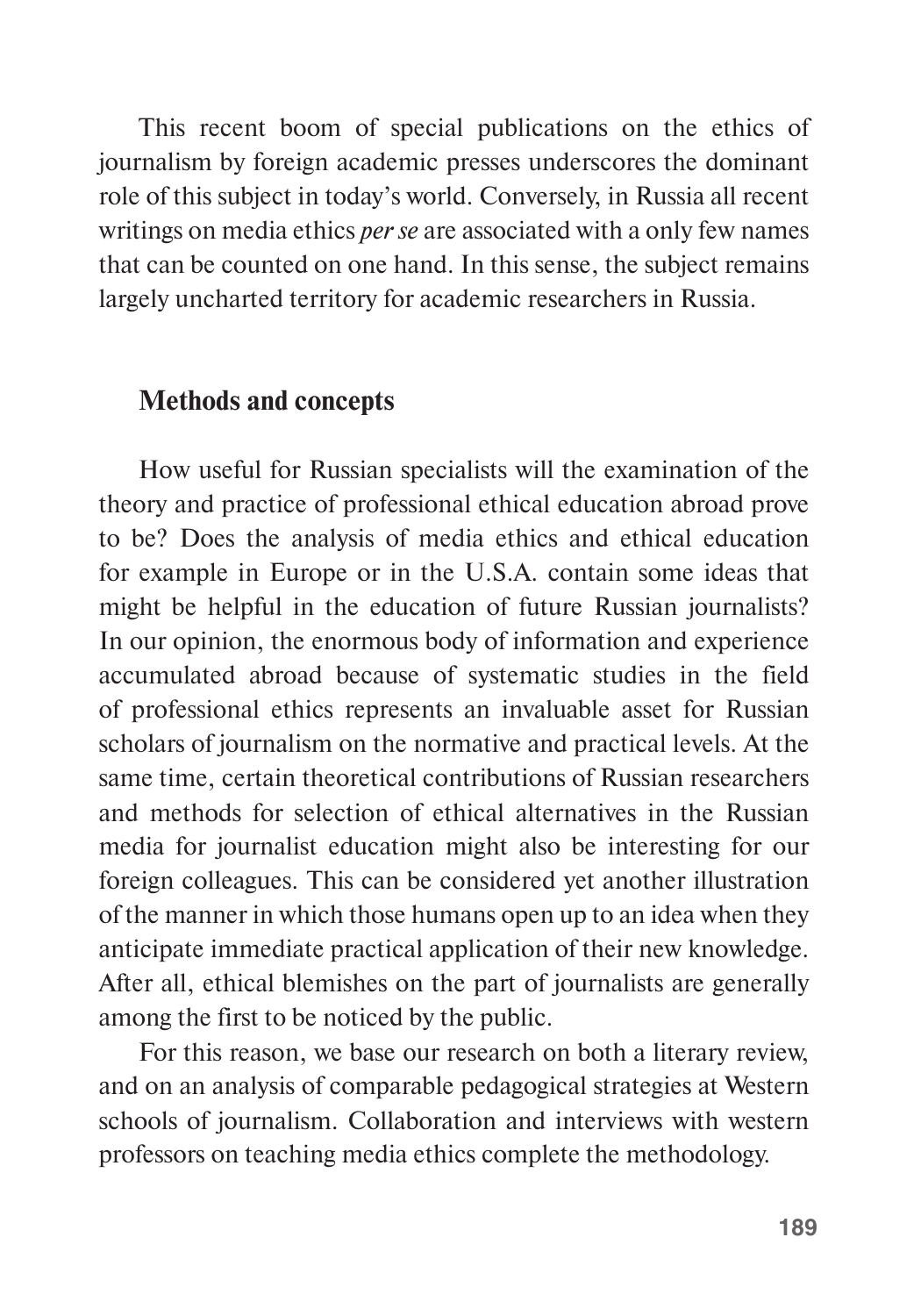This recent boom of special publications on the ethics of journalism by foreign academic presses underscores the dominant role of this subject in today's world. Conversely, in Russia all recent writings on media ethics *per se* are associated with a only few names that can be counted on one hand. In this sense, the subject remains largely uncharted territory for academic researchers in Russia.

#### **Methods and concepts**

How useful for Russian specialists will the examination of the theory and practice of professional ethical education abroad prove to be? Does the analysis of media ethics and ethical education for example in Europe or in the U.S.A. contain some ideas that might be helpful in the education of future Russian journalists? In our opinion, the enormous body of information and experience accumulated abroad because of systematic studies in the field of professional ethics represents an invaluable asset for Russian scholars of journalism on the normative and practical levels. At the same time, certain theoretical contributions of Russian researchers and methods for selection of ethical alternatives in the Russian media for journalist education might also be interesting for our foreign colleagues. This can be considered yet another illustration of the manner in which those humans open up to an idea when they anticipate immediate practical application of their new knowledge. After all, ethical blemishes on the part of journalists are generally among the first to be noticed by the public.

For this reason, we base our research on both a literary review, and on an analysis of comparable pedagogical strategies at Western schools of journalism. Collaboration and interviews with western professors on teaching media ethics complete the methodology.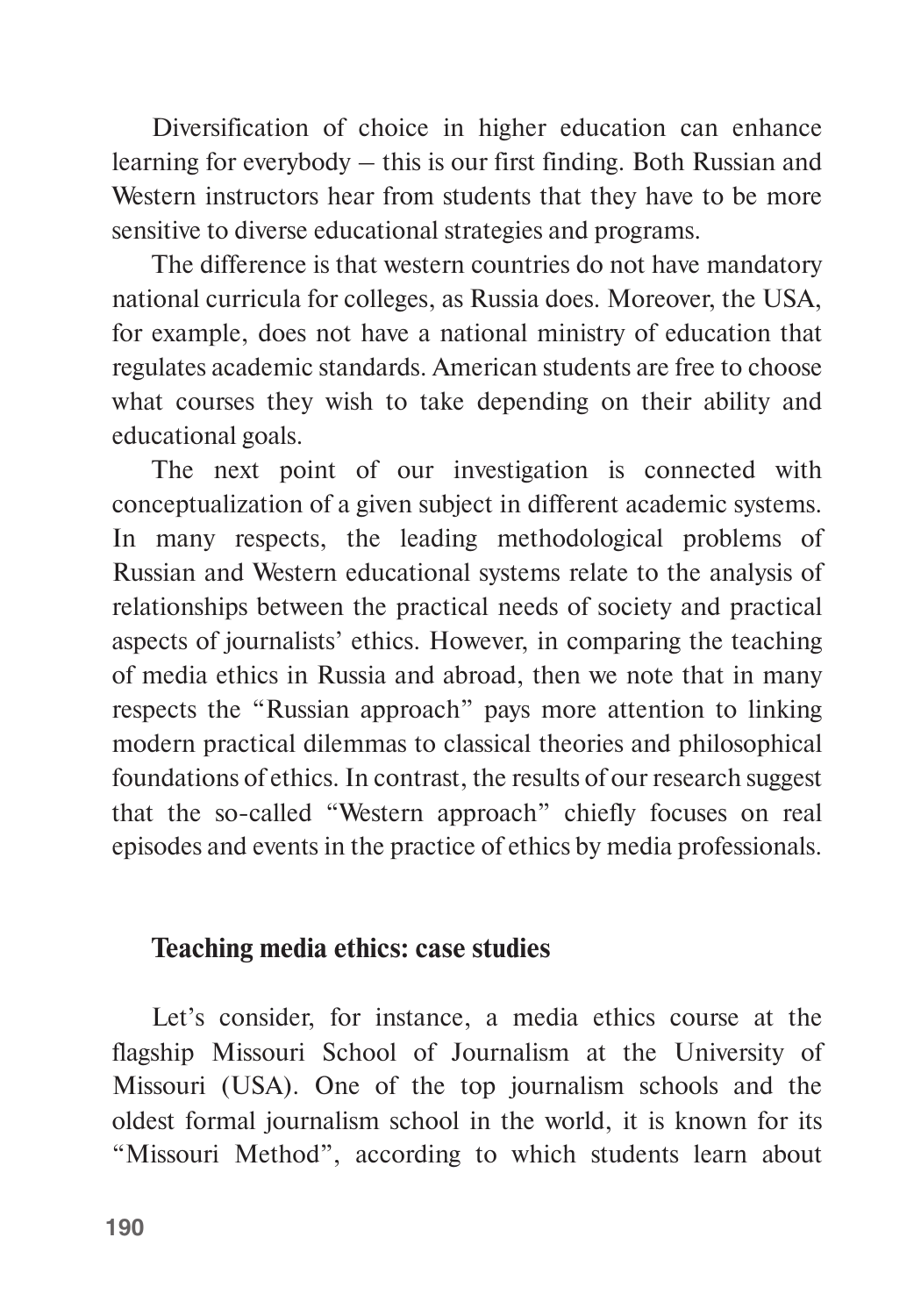Diversification of choice in higher education can enhance learning for everybody – this is our first finding. Both Russian and Western instructors hear from students that they have to be more sensitive to diverse educational strategies and programs.

The difference is that western countries do not have mandatory national curricula for colleges, as Russia does. Moreover, the USA, for example, does not have a national ministry of education that regulates academic standards. American students are free to choose what courses they wish to take depending on their ability and educational goals.

The next point of our investigation is connected with conceptualization of a given subject in different academic systems. In many respects, the leading methodological problems of Russian and Western educational systems relate to the analysis of relationships between the practical needs of society and practical aspects of journalists' ethics. However, in comparing the teaching of media ethics in Russia and abroad, then we note that in many respects the "Russian approach" pays more attention to linking modern practical dilemmas to classical theories and philosophical foundations of ethics. In contrast, the results of our research suggest that the so-called "Western approach" chiefly focuses on real episodes and events in the practice of ethics by media professionals.

## **Teaching media ethics: case studies**

Let's consider, for instance, a media ethics course at the flagship Missouri School of Journalism at the University of Missouri (USA). One of the top journalism schools and the oldest formal journalism school in the world, it is known for its "Missouri Method", according to which students learn about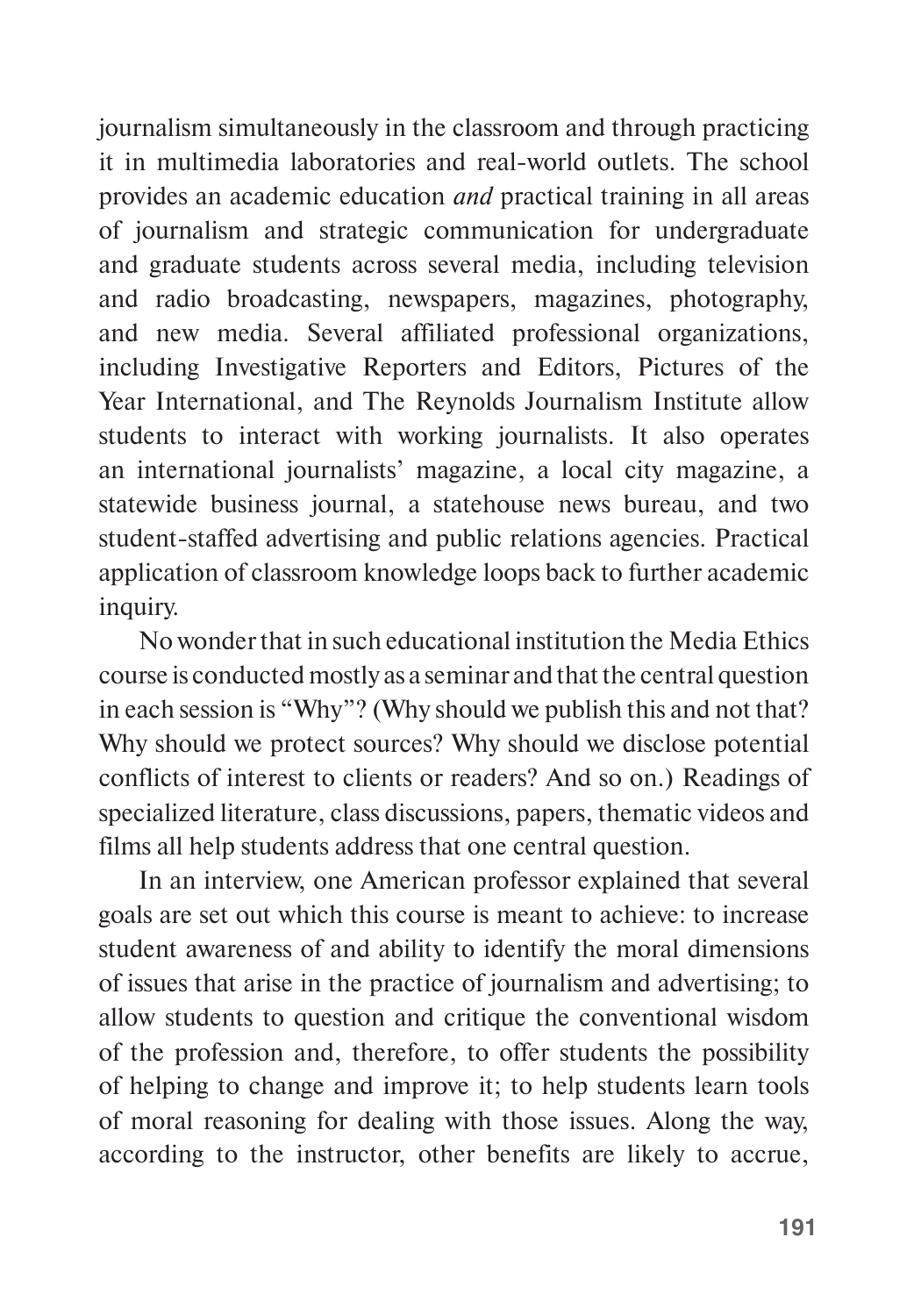journalism simultaneously in the classroom and through practicing it in multimedia laboratories and real-world outlets. The school provides an academic education *and* practical training in all areas of journalism and strategic communication for undergraduate and graduate students across several media, including television and radio broadcasting, newspapers, magazines, photography, and new media. Several affiliated professional organizations, including Investigative Reporters and Editors, Pictures of the Year International, and The Reynolds Journalism Institute allow students to interact with working journalists. It also operates an international journalists' magazine, a local city magazine, a statewide business journal, a statehouse news bureau, and two student-staffed advertising and public relations agencies. Practical application of classroom knowledge loops back to further academic inquiry.

No wonder that in such educational institution the Media Ethics course is conducted mostly as a seminar and that the central question in each session is "Why"? (Why should we publish this and not that? Why should we protect sources? Why should we disclose potential conflicts of interest to clients or readers? And so on.) Readings of specialized literature, class discussions, papers, thematic videos and films all help students address that one central question.

In an interview, one American professor explained that several goals are set out which this course is meant to achieve: to increase student awareness of and ability to identify the moral dimensions of issues that arise in the practice of journalism and advertising; to allow students to question and critique the conventional wisdom of the profession and, therefore, to offer students the possibility of helping to change and improve it; to help students learn tools of moral reasoning for dealing with those issues. Along the way, according to the instructor, other benefits are likely to accrue,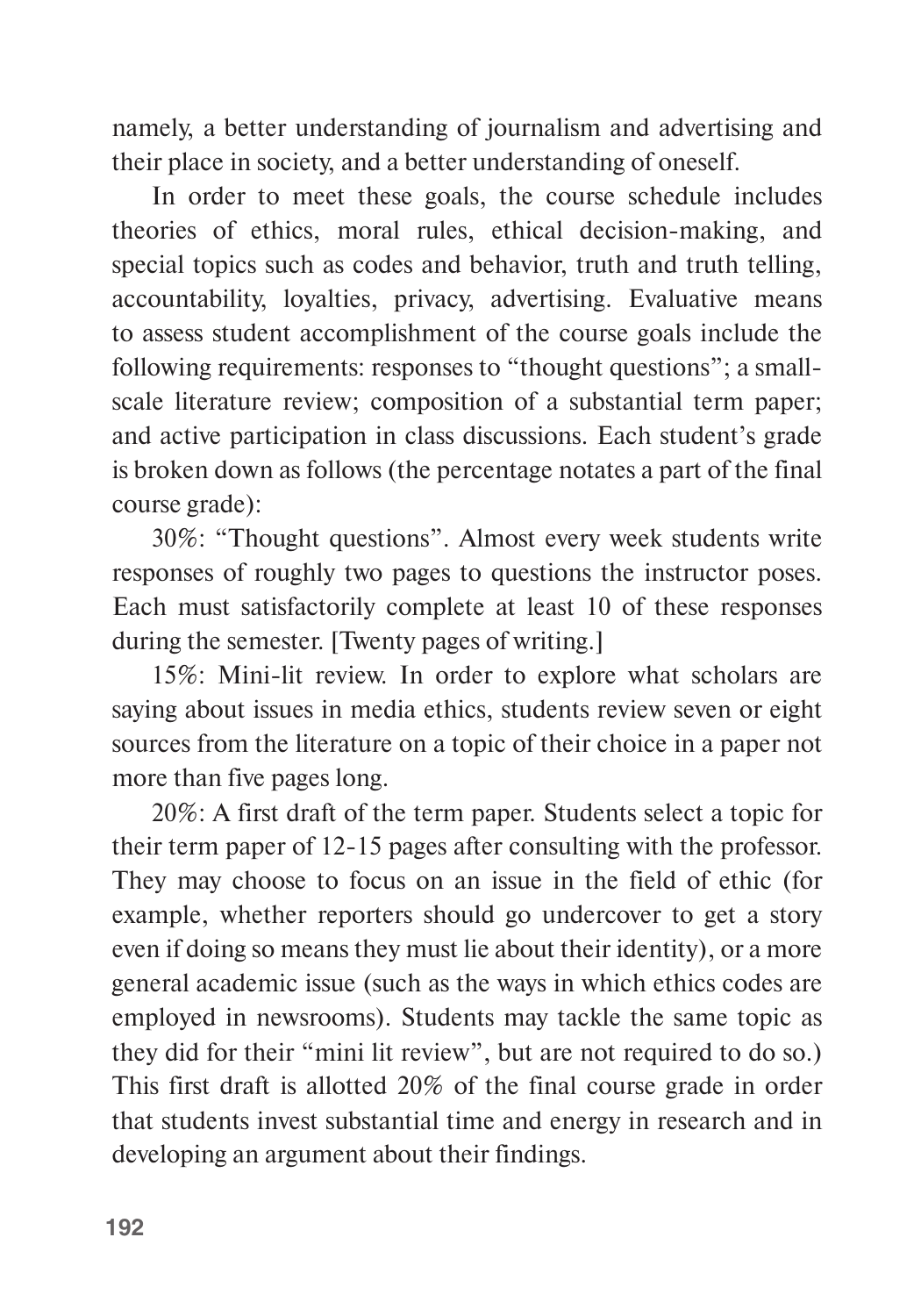namely, a better understanding of journalism and advertising and their place in society, and a better understanding of oneself.

In order to meet these goals, the course schedule includes theories of ethics, moral rules, ethical decision-making, and special topics such as codes and behavior, truth and truth telling, accountability, loyalties, privacy, advertising. Evaluative means to assess student accomplishment of the course goals include the following requirements: responses to "thought questions"; a smallscale literature review; composition of a substantial term paper; and active participation in class discussions. Each student's grade is broken down as follows (the percentage notates a part of the final course grade):

30%: "Thought questions". Almost every week students write responses of roughly two pages to questions the instructor poses. Each must satisfactorily complete at least 10 of these responses during the semester. [Twenty pages of writing.]

15%: Mini-lit review. In order to explore what scholars are saying about issues in media ethics, students review seven or eight sources from the literature on a topic of their choice in a paper not more than five pages long.

20%: A first draft of the term paper. Students select a topic for their term paper of 12-15 pages after consulting with the professor. They may choose to focus on an issue in the field of ethic (for example, whether reporters should go undercover to get a story even if doing so means they must lie about their identity), or a more general academic issue (such as the ways in which ethics codes are employed in newsrooms). Students may tackle the same topic as they did for their "mini lit review", but are not required to do so.) This first draft is allotted 20% of the final course grade in order that students invest substantial time and energy in research and in developing an argument about their findings.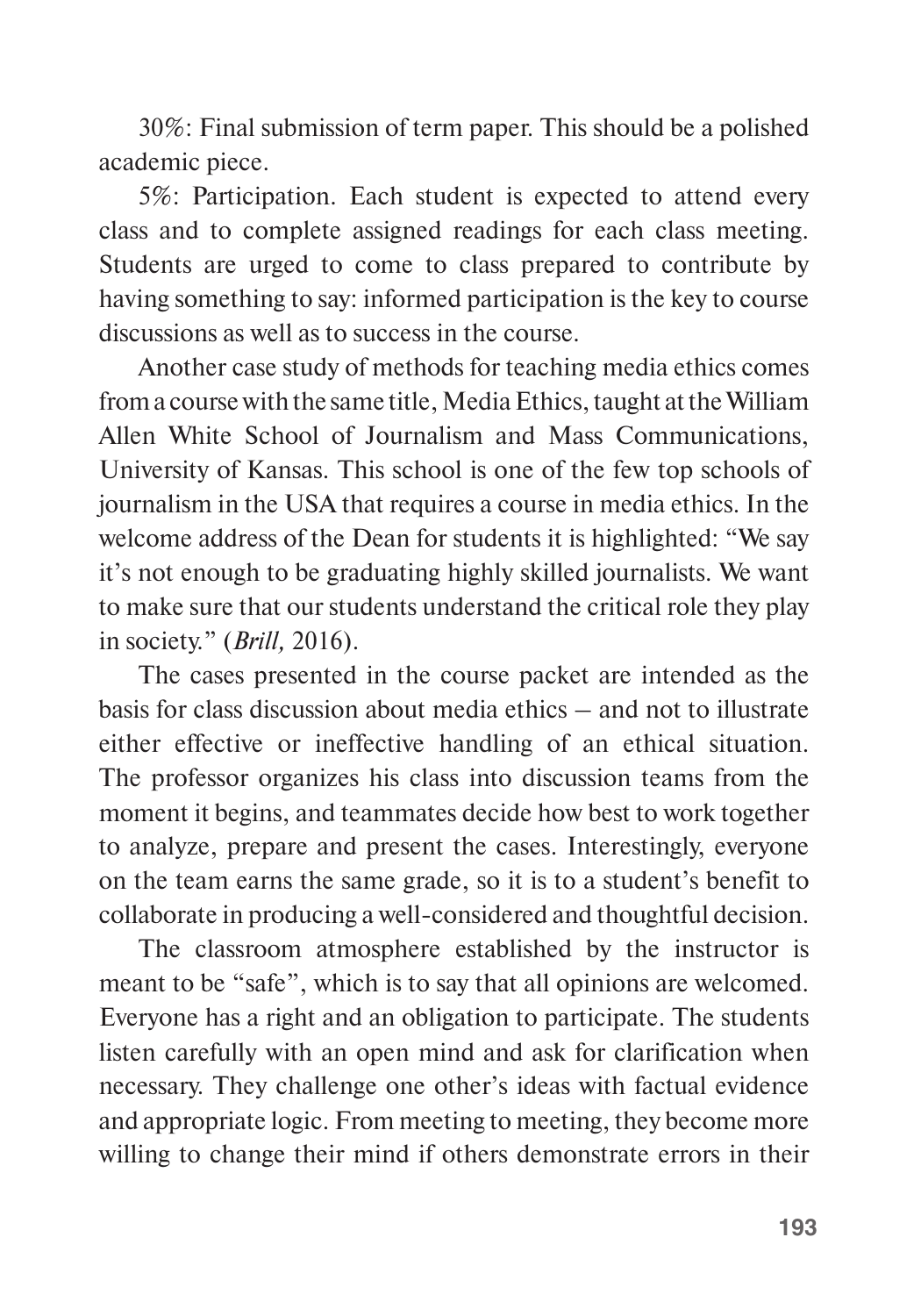30%: Final submission of term paper. This should be a polished academic piece.

5%: Participation. Each student is expected to attend every class and to complete assigned readings for each class meeting. Students are urged to come to class prepared to contribute by having something to say: informed participation is the key to course discussions as well as to success in the course.

Another case study of methods for teaching media ethics comes from a course with the same title, Media Ethics, taught at the William Allen White School of Journalism and Mass Communications, University of Kansas. This school is one of the few top schools of journalism in the USA that requires a course in media ethics. In the welcome address of the Dean for students it is highlighted: "We say it's not enough to be graduating highly skilled journalists. We want to make sure that our students understand the critical role they play in society." (*Brill,* 2016).

The cases presented in the course packet are intended as the basis for class discussion about media ethics – and not to illustrate either effective or ineffective handling of an ethical situation. The professor organizes his class into discussion teams from the moment it begins, and teammates decide how best to work together to analyze, prepare and present the cases. Interestingly, everyone on the team earns the same grade, so it is to a student's benefit to collaborate in producing a well-considered and thoughtful decision.

The classroom atmosphere established by the instructor is meant to be "safe", which is to say that all opinions are welcomed. Everyone has a right and an obligation to participate. The students listen carefully with an open mind and ask for clarification when necessary. They challenge one other's ideas with factual evidence and appropriate logic. From meeting to meeting, they become more willing to change their mind if others demonstrate errors in their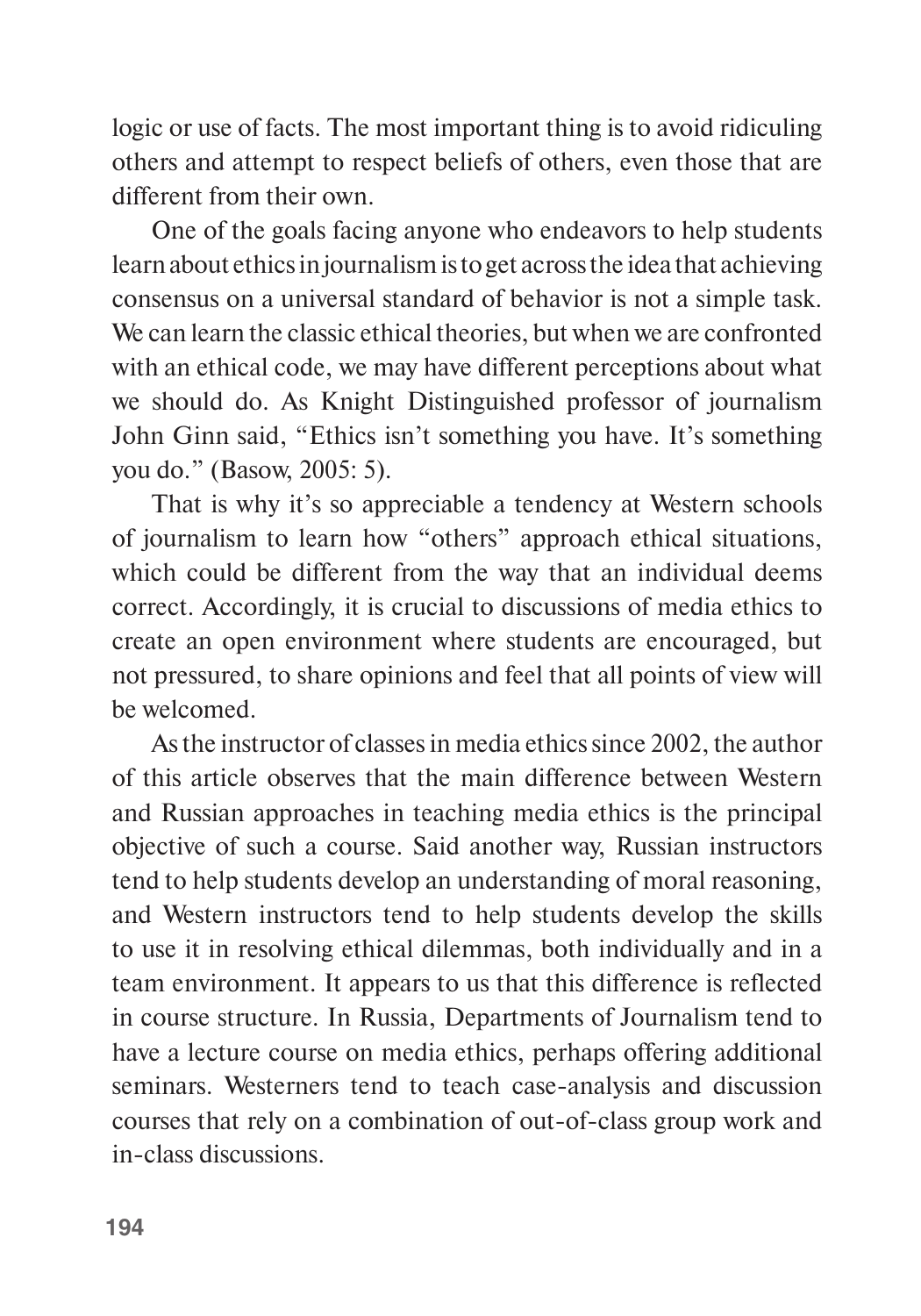logic or use of facts. The most important thing is to avoid ridiculing others and attempt to respect beliefs of others, even those that are different from their own.

One of the goals facing anyone who endeavors to help students learn about ethics in journalism is to get across the idea that achieving consensus on a universal standard of behavior is not a simple task. We can learn the classic ethical theories, but when we are confronted with an ethical code, we may have different perceptions about what we should do. As Knight Distinguished professor of journalism John Ginn said, "Ethics isn't something you have. It's something you do." (Basow, 2005: 5)*.*

That is why it's so appreciable a tendency at Western schools of journalism to learn how "others" approach ethical situations, which could be different from the way that an individual deems correct. Accordingly, it is crucial to discussions of media ethics to create an open environment where students are encouraged, but not pressured, to share opinions and feel that all points of view will be welcomed.

As the instructor of classes in media ethics since 2002, the author of this article observes that the main difference between Western and Russian approaches in teaching media ethics is the principal objective of such a course. Said another way, Russian instructors tend to help students develop an understanding of moral reasoning, and Western instructors tend to help students develop the skills to use it in resolving ethical dilemmas, both individually and in a team environment. It appears to us that this difference is reflected in course structure. In Russia, Departments of Journalism tend to have a lecture course on media ethics, perhaps offering additional seminars. Westerners tend to teach case-analysis and discussion courses that rely on a combination of out-of-class group work and in-class discussions.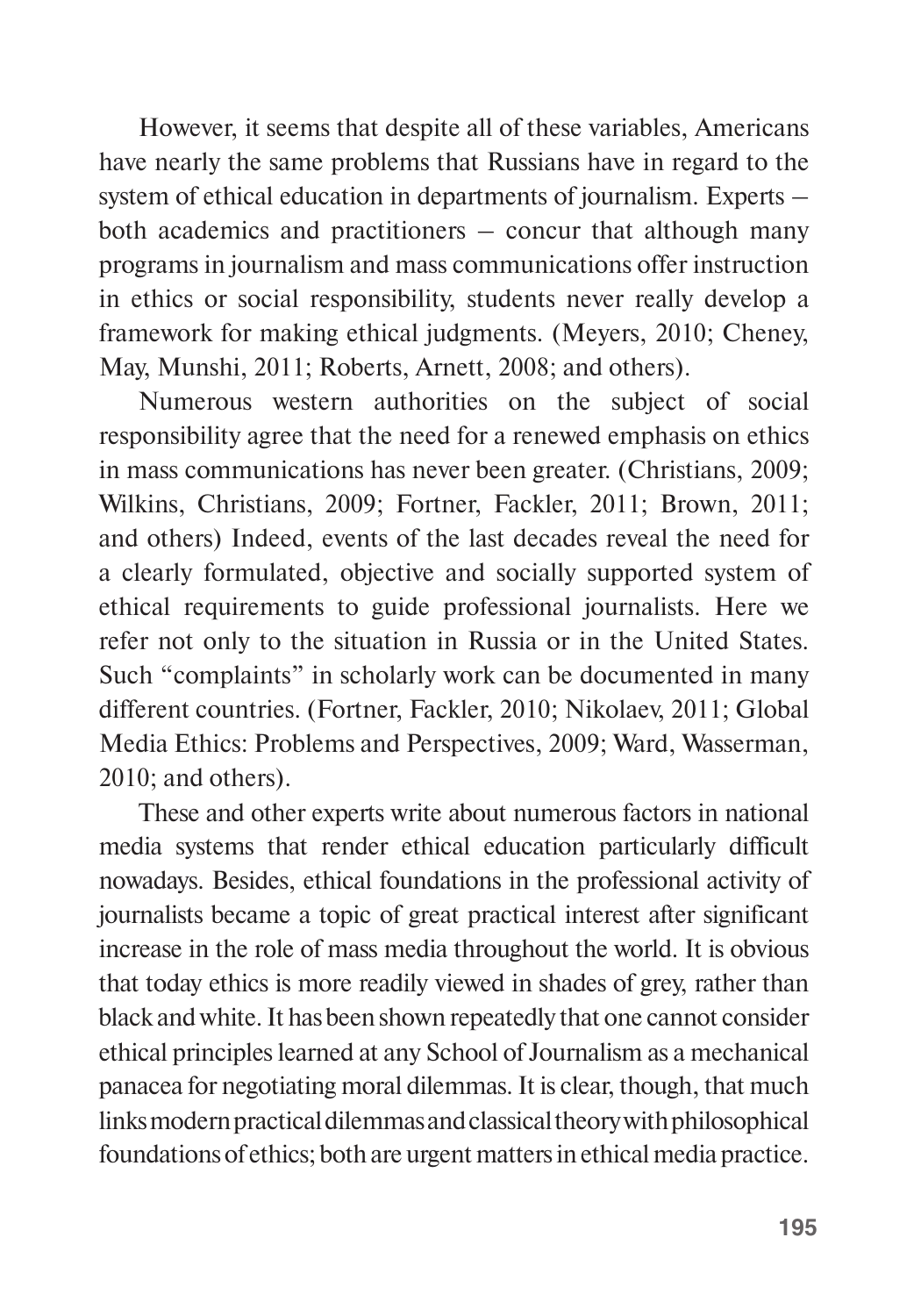However, it seems that despite all of these variables, Americans have nearly the same problems that Russians have in regard to the system of ethical education in departments of journalism. Experts – both academics and practitioners – concur that although many programs in journalism and mass communications offer instruction in ethics or social responsibility, students never really develop a framework for making ethical judgments. (Meyers, 2010; Cheney, May, Munshi, 2011; Roberts, Arnett, 2008; and others).

Numerous western authorities on the subject of social responsibility agree that the need for a renewed emphasis on ethics in mass communications has never been greater. (Christians, 2009; Wilkins, Christians, 2009; Fortner, Fackler, 2011; Brown, 2011; and others) Indeed, events of the last decades reveal the need for a clearly formulated, objective and socially supported system of ethical requirements to guide professional journalists. Here we refer not only to the situation in Russia or in the United States. Such "complaints" in scholarly work can be documented in many different countries. (Fortner, Fackler, 2010; Nikolaev, 2011; Global Media Ethics: Problems and Perspectives, 2009; Ward, Wasserman, 2010; and others).

These and other experts write about numerous factors in national media systems that render ethical education particularly difficult nowadays. Besides, ethical foundations in the professional activity of journalists became a topic of great practical interest after significant increase in the role of mass media throughout the world. It is obvious that today ethics is more readily viewed in shades of grey, rather than black and white. It has been shown repeatedly that one cannot consider ethical principles learned at any School of Journalism as a mechanical panacea for negotiating moral dilemmas. It is clear, though, that much links modern practical dilemmas and classical theory with philosophical foundations of ethics; both are urgent matters in ethical media practice.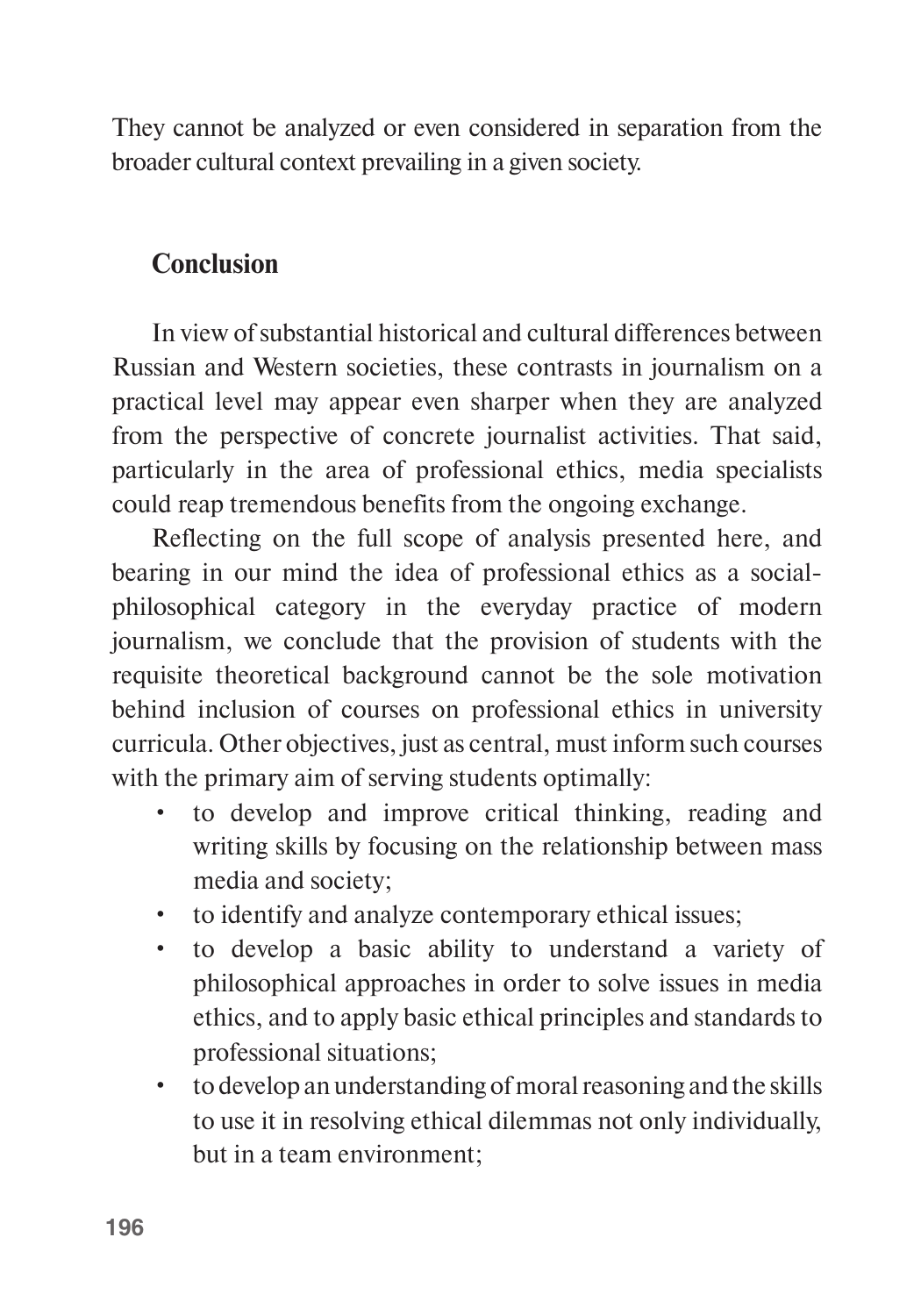They cannot be analyzed or even considered in separation from the broader cultural context prevailing in a given society.

# **Conclusion**

In view of substantial historical and cultural differences between Russian and Western societies, these contrasts in journalism on a practical level may appear even sharper when they are analyzed from the perspective of concrete journalist activities. That said, particularly in the area of professional ethics, media specialists could reap tremendous benefits from the ongoing exchange.

Reflecting on the full scope of analysis presented here, and bearing in our mind the idea of professional ethics as a socialphilosophical category in the everyday practice of modern journalism, we conclude that the provision of students with the requisite theoretical background cannot be the sole motivation behind inclusion of courses on professional ethics in university curricula. Other objectives, just as central, must inform such courses with the primary aim of serving students optimally:

- to develop and improve critical thinking, reading and writing skills by focusing on the relationship between mass media and society;
- to identify and analyze contemporary ethical issues;
- to develop a basic ability to understand a variety of philosophical approaches in order to solve issues in media ethics, and to apply basic ethical principles and standards to professional situations;
- to develop an understanding of moral reasoning and the skills to use it in resolving ethical dilemmas not only individually, but in a team environment;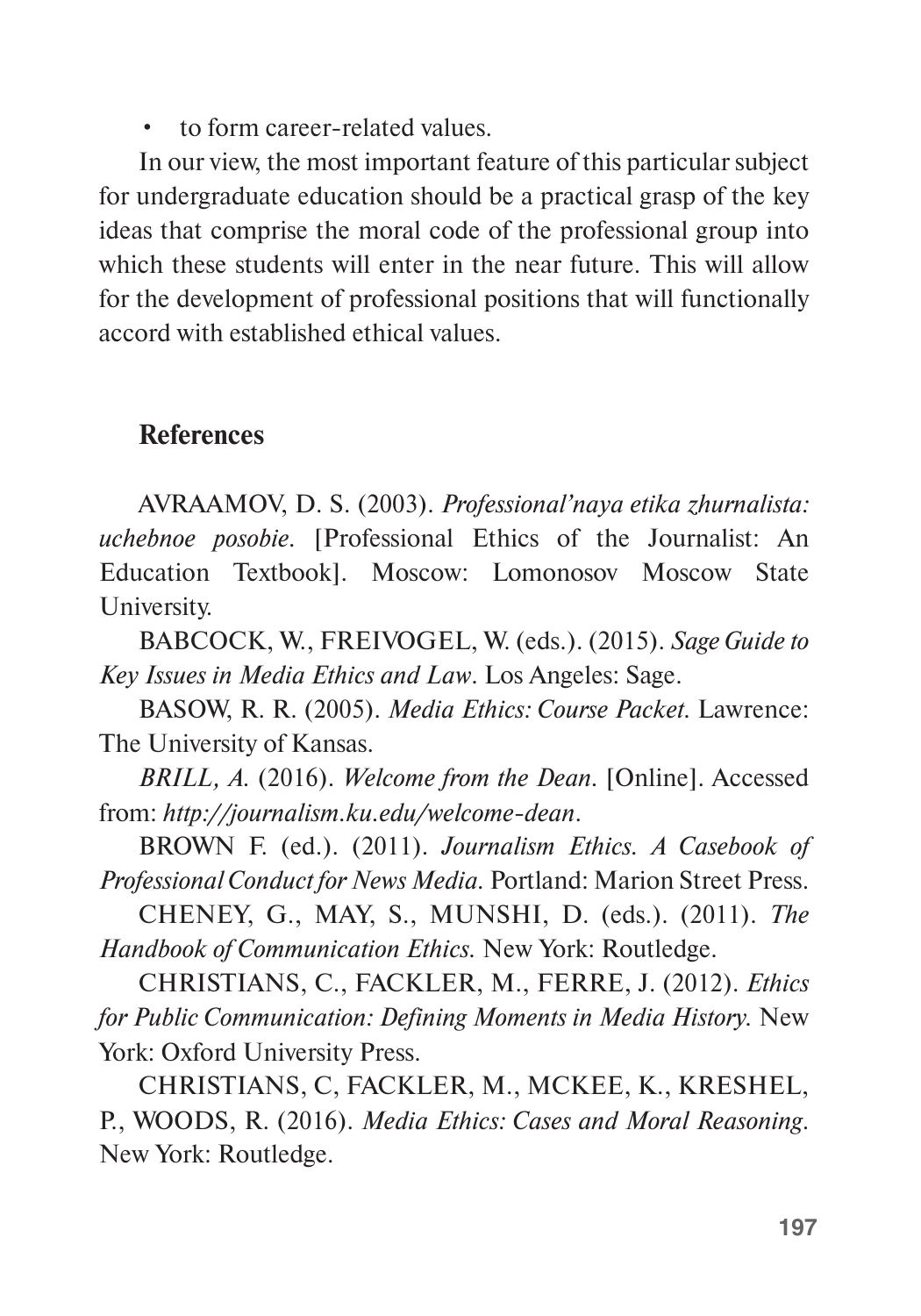• to form career-related values.

In our view, the most important feature of this particular subject for undergraduate education should be a practical grasp of the key ideas that comprise the moral code of the professional group into which these students will enter in the near future. This will allow for the development of professional positions that will functionally accord with established ethical values.

### **References**

AVRAAMOV, D. S. (2003). *Professional'naya etika zhurnalista: uchebnoe posobie.* [Professional Ethics of the Journalist: An Education Textbook]. Moscow: Lomonosov Moscow State University.

BABCOCK, W., FREIVOGEL, W. (eds.). (2015). *Sage Guide to Key Issues in Media Ethics and Law*. Los Angeles: Sage.

BASOW, R. R. (2005). *Media Ethics: Course Packet.* Lawrence: The University of Kansas.

*BRILL, A.* (2016). *Welcome from the Dean.* [Online]. Accessed from: *http://journalism.ku.edu/welcome-dean*.

BROWN F. (ed.). (2011). *Journalism Ethics. A Casebook of Professional Conduct for News Media.* Portland: Marion Street Press.

CHENEY, G., MAY, S., MUNSHI, D. (eds.). (2011). *The Handbook of Communication Ethics.* New York: Routledge.

CHRISTIANS, C., FACKLER, M., FERRE, J. (2012). *Ethics for Public Communication: Defining Moments in Media History.* New York: Oxford University Press.

CHRISTIANS, C, FACKLER, M., MCKEE, K., KRESHEL, P., WOODS, R. (2016). *Media Ethics: Cases and Moral Reasoning*. New York: Routledge.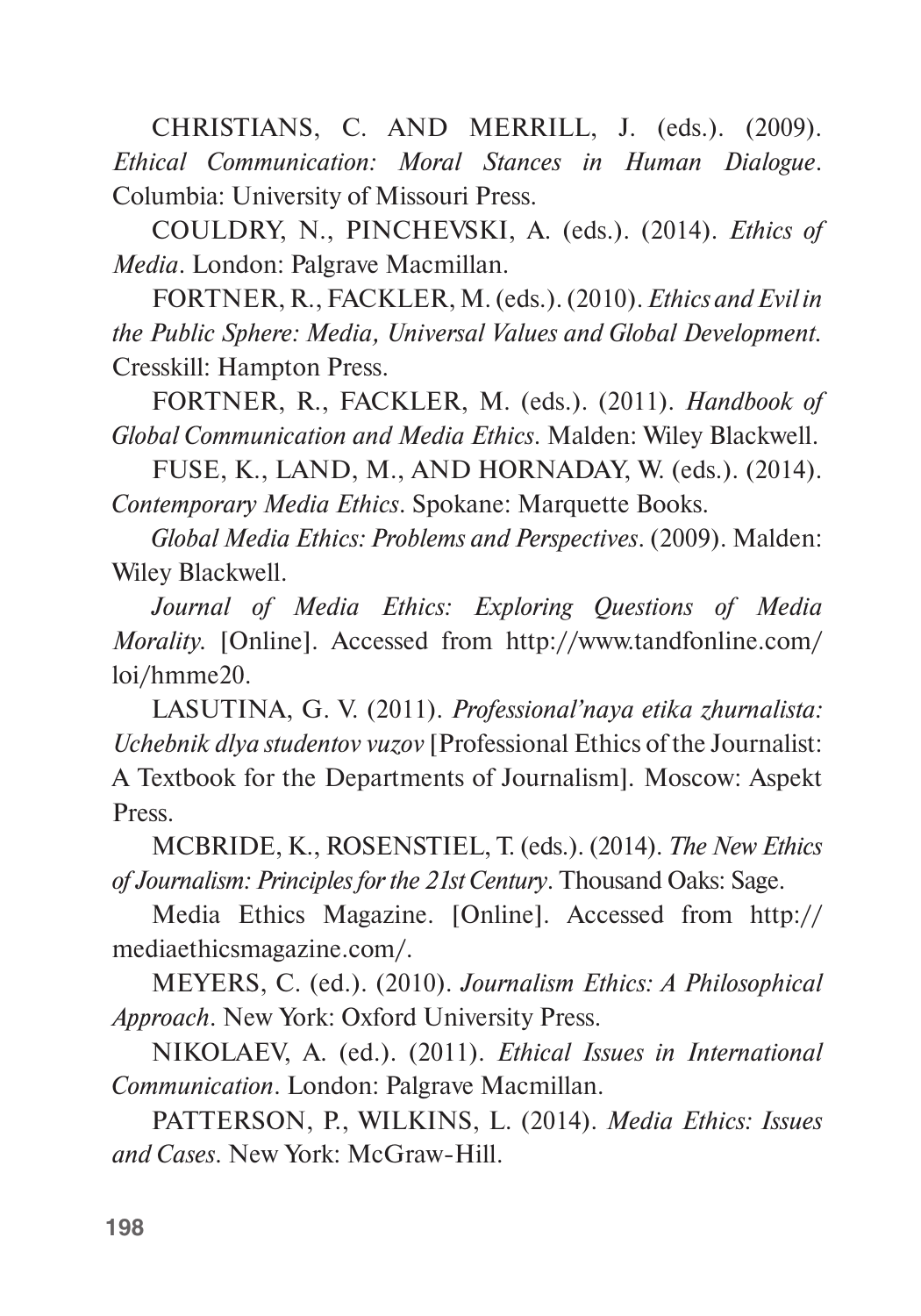CHRISTIANS, C. AND MERRILL, J. (eds.). (2009). *Ethical Communication: Moral Stances in Human Dialogue*. Columbia: University of Missouri Press.

COULDRY, N., PINCHEVSKI, A. (eds.). (2014). *Ethics of Media*. London: Palgrave Macmillan.

FORTNER, R., FACKLER, M. (eds.). (2010). *Ethics and Evil in the Public Sphere: Media, Universal Values and Global Development.* Cresskill: Hampton Press.

FORTNER, R., FACKLER, M. (eds.). (2011). *Handbook of Global Communication and Media Ethics*. Malden: Wiley Blackwell.

FUSE, K., LAND, M., AND HORNADAY, W. (eds.). (2014). *Contemporary Media Ethics*. Spokane: Marquette Books.

*Global Media Ethics: Problems and Perspectives*. (2009). Malden: Wiley Blackwell.

*Journal of Media Ethics: Exploring Questions of Media Morality.* [Online]. Accessed from http://www.tandfonline.com/ loi/hmme20.

LASUTINA, G. V. (2011). *Professional'naya etika zhurnalista: Uchebnik dlya studentov vuzov* [Professional Ethics of the Journalist: A Textbook for the Departments of Journalism]*.* Moscow: Aspekt Press.

MCBRIDE, K., ROSENSTIEL, T. (eds.). (2014). *The New Ethics of Journalism: Principles for the 21st Century*. Thousand Oaks: Sage.

Media Ethics Magazine. [Online]. Accessed from http:// mediaethicsmagazine.com/.

MEYERS, C. (ed.). (2010). *Journalism Ethics: A Philosophical Approach*. New York: Oxford University Press.

NIKOLAEV, A. (ed.). (2011). *Ethical Issues in International Communication*. London: Palgrave Macmillan.

PATTERSON, P., WILKINS, L. (2014). *Media Ethics: Issues and Cases*. New York: McGraw-Hill.